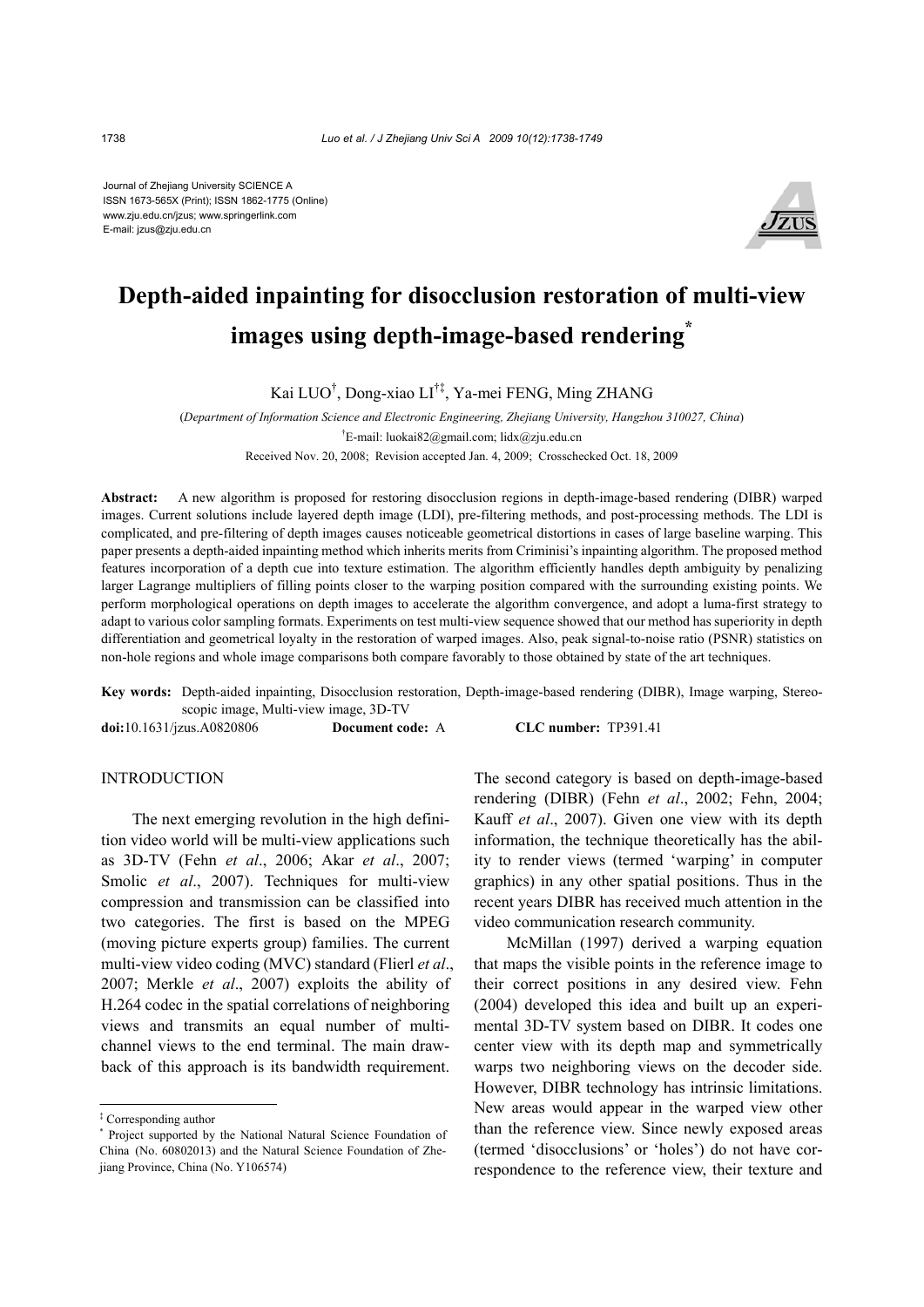Journal of Zhejiang University SCIENCE A ISSN 1673-565X (Print); ISSN 1862-1775 (Online) www.zju.edu.cn/jzus; www.springerlink.com E-mail: jzus@zju.edu.cn



# **Depth-aided inpainting for disocclusion restoration of multi-view images using depth-image-based rendering\***

Kai LUO† , Dong-xiao LI†‡, Ya-mei FENG, Ming ZHANG

(*Department of Information Science and Electronic Engineering, Zhejiang University, Hangzhou 310027, China*) † E-mail: luokai82@gmail.com; lidx@zju.edu.cn Received Nov. 20, 2008; Revision accepted Jan. 4, 2009; Crosschecked Oct. 18, 2009

**Abstract:** A new algorithm is proposed for restoring disocclusion regions in depth-image-based rendering (DIBR) warped images. Current solutions include layered depth image (LDI), pre-filtering methods, and post-processing methods. The LDI is complicated, and pre-filtering of depth images causes noticeable geometrical distortions in cases of large baseline warping. This paper presents a depth-aided inpainting method which inherits merits from Criminisi's inpainting algorithm. The proposed method features incorporation of a depth cue into texture estimation. The algorithm efficiently handles depth ambiguity by penalizing larger Lagrange multipliers of filling points closer to the warping position compared with the surrounding existing points. We perform morphological operations on depth images to accelerate the algorithm convergence, and adopt a luma-first strategy to adapt to various color sampling formats. Experiments on test multi-view sequence showed that our method has superiority in depth differentiation and geometrical loyalty in the restoration of warped images. Also, peak signal-to-noise ratio (PSNR) statistics on non-hole regions and whole image comparisons both compare favorably to those obtained by state of the art techniques.

**Key words:** Depth-aided inpainting, Disocclusion restoration, Depth-image-based rendering (DIBR), Image warping, Stereoscopic image, Multi-view image, 3D-TV

**doi:**10.1631/jzus.A0820806 **Document code:** A **CLC number:** TP391.41

# INTRODUCTION

The next emerging revolution in the high definition video world will be multi-view applications such as 3D-TV (Fehn *et al*., 2006; Akar *et al*., 2007; Smolic *et al*., 2007). Techniques for multi-view compression and transmission can be classified into two categories. The first is based on the MPEG (moving picture experts group) families. The current multi-view video coding (MVC) standard (Flierl *et al*., 2007; Merkle *et al*., 2007) exploits the ability of H.264 codec in the spatial correlations of neighboring views and transmits an equal number of multichannel views to the end terminal. The main drawback of this approach is its bandwidth requirement.

The second category is based on depth-image-based rendering (DIBR) (Fehn *et al*., 2002; Fehn, 2004; Kauff *et al*., 2007). Given one view with its depth information, the technique theoretically has the ability to render views (termed 'warping' in computer graphics) in any other spatial positions. Thus in the recent years DIBR has received much attention in the video communication research community.

McMillan (1997) derived a warping equation that maps the visible points in the reference image to their correct positions in any desired view. Fehn (2004) developed this idea and built up an experimental 3D-TV system based on DIBR. It codes one center view with its depth map and symmetrically warps two neighboring views on the decoder side. However, DIBR technology has intrinsic limitations. New areas would appear in the warped view other than the reference view. Since newly exposed areas (termed 'disocclusions' or 'holes') do not have correspondence to the reference view, their texture and

<sup>‡</sup> Corresponding author

<sup>\*</sup> Project supported by the National Natural Science Foundation of China (No. 60802013) and the Natural Science Foundation of Zhejiang Province, China (No. Y106574)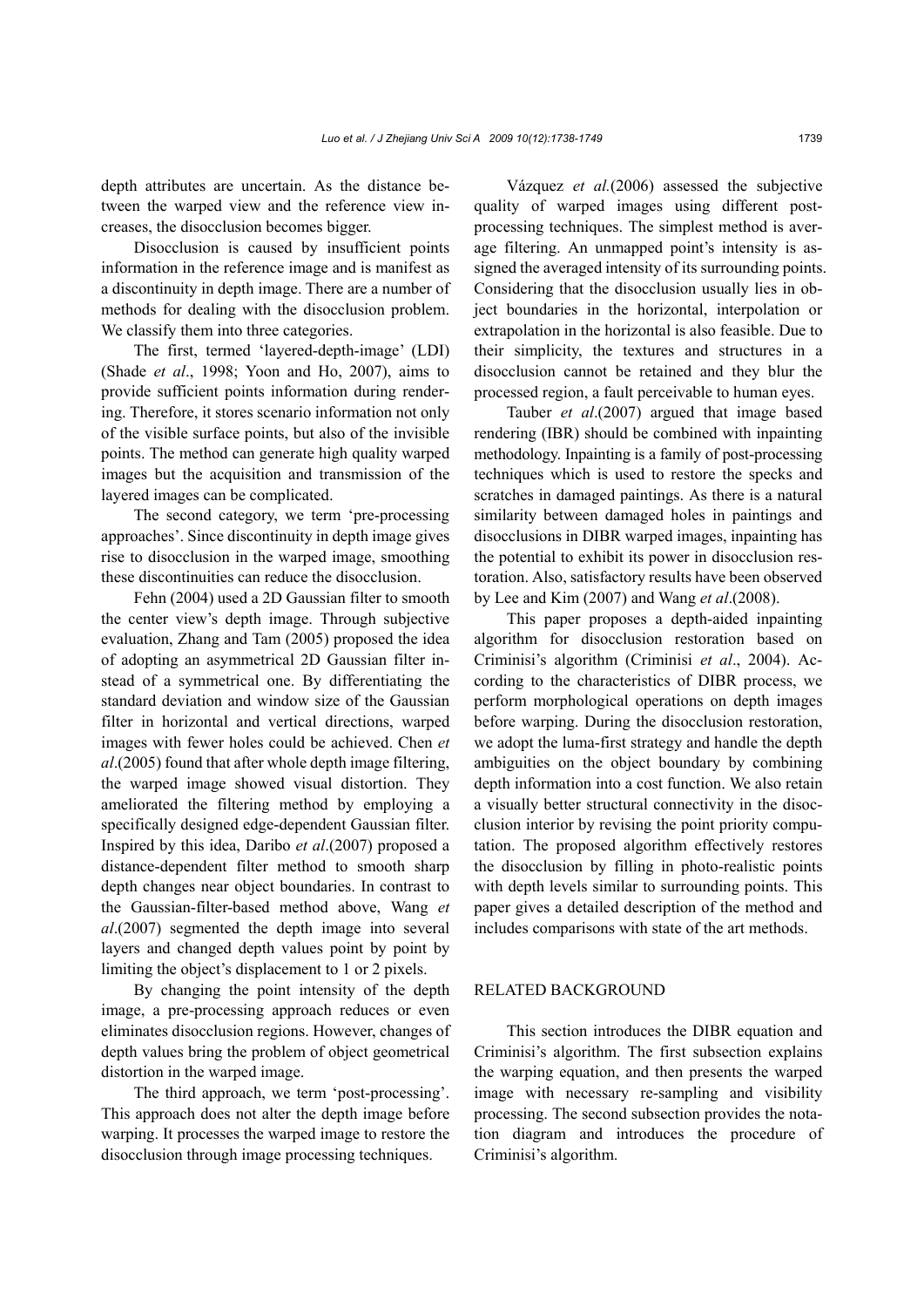depth attributes are uncertain. As the distance between the warped view and the reference view increases, the disocclusion becomes bigger.

Disocclusion is caused by insufficient points information in the reference image and is manifest as a discontinuity in depth image. There are a number of methods for dealing with the disocclusion problem. We classify them into three categories.

The first, termed 'layered-depth-image' (LDI) (Shade *et al*., 1998; Yoon and Ho, 2007), aims to provide sufficient points information during rendering. Therefore, it stores scenario information not only of the visible surface points, but also of the invisible points. The method can generate high quality warped images but the acquisition and transmission of the layered images can be complicated.

The second category, we term 'pre-processing approaches'. Since discontinuity in depth image gives rise to disocclusion in the warped image, smoothing these discontinuities can reduce the disocclusion.

Fehn (2004) used a 2D Gaussian filter to smooth the center view's depth image. Through subjective evaluation, Zhang and Tam (2005) proposed the idea of adopting an asymmetrical 2D Gaussian filter instead of a symmetrical one. By differentiating the standard deviation and window size of the Gaussian filter in horizontal and vertical directions, warped images with fewer holes could be achieved. Chen *et al*.(2005) found that after whole depth image filtering, the warped image showed visual distortion. They ameliorated the filtering method by employing a specifically designed edge-dependent Gaussian filter. Inspired by this idea, Daribo *et al*.(2007) proposed a distance-dependent filter method to smooth sharp depth changes near object boundaries. In contrast to the Gaussian-filter-based method above, Wang *et al*.(2007) segmented the depth image into several layers and changed depth values point by point by limiting the object's displacement to 1 or 2 pixels.

By changing the point intensity of the depth image, a pre-processing approach reduces or even eliminates disocclusion regions. However, changes of depth values bring the problem of object geometrical distortion in the warped image.

The third approach, we term 'post-processing'. This approach does not alter the depth image before warping. It processes the warped image to restore the disocclusion through image processing techniques.

Vázquez *et al.*(2006) assessed the subjective quality of warped images using different postprocessing techniques. The simplest method is average filtering. An unmapped point's intensity is assigned the averaged intensity of its surrounding points. Considering that the disocclusion usually lies in object boundaries in the horizontal, interpolation or extrapolation in the horizontal is also feasible. Due to their simplicity, the textures and structures in a disocclusion cannot be retained and they blur the processed region, a fault perceivable to human eyes.

Tauber *et al*.(2007) argued that image based rendering (IBR) should be combined with inpainting methodology. Inpainting is a family of post-processing techniques which is used to restore the specks and scratches in damaged paintings. As there is a natural similarity between damaged holes in paintings and disocclusions in DIBR warped images, inpainting has the potential to exhibit its power in disocclusion restoration. Also, satisfactory results have been observed by Lee and Kim (2007) and Wang *et al*.(2008).

This paper proposes a depth-aided inpainting algorithm for disocclusion restoration based on Criminisi's algorithm (Criminisi *et al*., 2004). According to the characteristics of DIBR process, we perform morphological operations on depth images before warping. During the disocclusion restoration, we adopt the luma-first strategy and handle the depth ambiguities on the object boundary by combining depth information into a cost function. We also retain a visually better structural connectivity in the disocclusion interior by revising the point priority computation. The proposed algorithm effectively restores the disocclusion by filling in photo-realistic points with depth levels similar to surrounding points. This paper gives a detailed description of the method and includes comparisons with state of the art methods.

## RELATED BACKGROUND

This section introduces the DIBR equation and Criminisi's algorithm. The first subsection explains the warping equation, and then presents the warped image with necessary re-sampling and visibility processing. The second subsection provides the notation diagram and introduces the procedure of Criminisi's algorithm.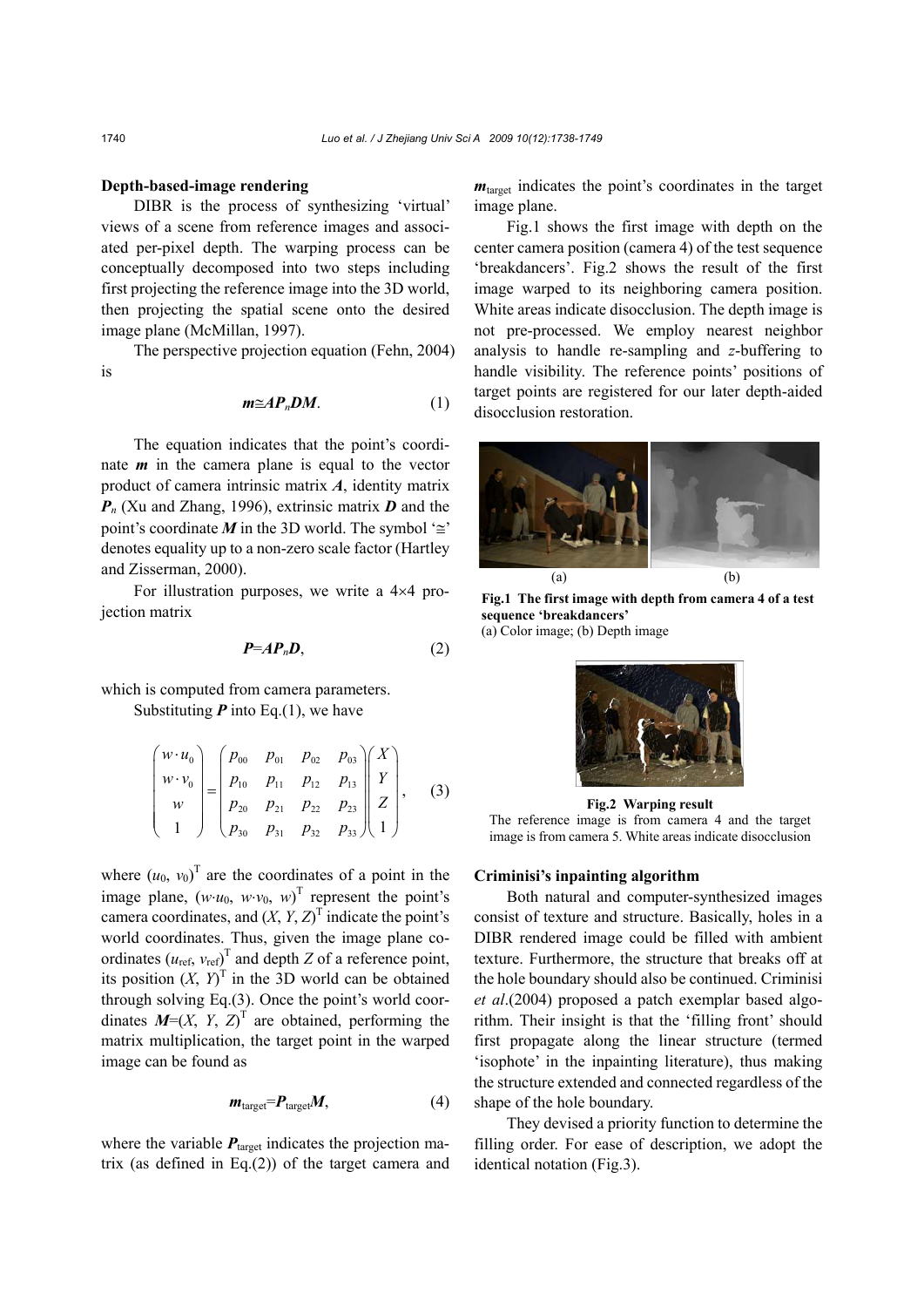#### **Depth-based-image rendering**

DIBR is the process of synthesizing 'virtual' views of a scene from reference images and associated per-pixel depth. The warping process can be conceptually decomposed into two steps including first projecting the reference image into the 3D world, then projecting the spatial scene onto the desired image plane (McMillan, 1997).

The perspective projection equation (Fehn, 2004) is

$$
m \cong AP_nDM. \tag{1}
$$

The equation indicates that the point's coordinate *m* in the camera plane is equal to the vector product of camera intrinsic matrix *A*, identity matrix *Pn* (Xu and Zhang, 1996), extrinsic matrix *D* and the point's coordinate *M* in the 3D world. The symbol ' $\cong$ ' denotes equality up to a non-zero scale factor (Hartley and Zisserman, 2000).

For illustration purposes, we write a 4×4 projection matrix

$$
P=A P_n D,\t\t(2)
$$

which is computed from camera parameters. Substituting  $P$  into Eq.(1), we have

$$
\begin{pmatrix} w \cdot u_0 \\ w \cdot v_0 \\ w \\ 1 \end{pmatrix} = \begin{pmatrix} p_{00} & p_{01} & p_{02} & p_{03} \\ p_{10} & p_{11} & p_{12} & p_{13} \\ p_{20} & p_{21} & p_{22} & p_{23} \\ p_{30} & p_{31} & p_{32} & p_{33} \end{pmatrix} \begin{pmatrix} X \\ Y \\ Z \\ 1 \end{pmatrix}, \quad (3)
$$

where  $(u_0, v_0)$ <sup>T</sup> are the coordinates of a point in the image plane,  $(w \cdot u_0, w \cdot v_0, w)^T$  represent the point's camera coordinates, and  $(X, Y, Z)^T$  indicate the point's world coordinates. Thus, given the image plane coordinates  $(u_{ref}, v_{ref})^T$  and depth *Z* of a reference point, its position  $(X, Y)^T$  in the 3D world can be obtained through solving Eq.(3). Once the point's world coordinates  $M=(X, Y, Z)^T$  are obtained, performing the matrix multiplication, the target point in the warped image can be found as

$$
m_{\text{target}} = P_{\text{target}} M, \tag{4}
$$

where the variable  $P_{\text{target}}$  indicates the projection matrix (as defined in Eq.(2)) of the target camera and *m*target indicates the point's coordinates in the target image plane.

Fig.1 shows the first image with depth on the center camera position (camera 4) of the test sequence 'breakdancers'. Fig.2 shows the result of the first image warped to its neighboring camera position. White areas indicate disocclusion. The depth image is not pre-processed. We employ nearest neighbor analysis to handle re-sampling and *z*-buffering to handle visibility. The reference points' positions of target points are registered for our later depth-aided disocclusion restoration.



**Fig.1 The first image with depth from camera 4 of a test sequence 'breakdancers'**  (a) Color image; (b) Depth image



**Fig.2 Warping result**  The reference image is from camera 4 and the target image is from camera 5. White areas indicate disocclusion

### **Criminisi's inpainting algorithm**

Both natural and computer-synthesized images consist of texture and structure. Basically, holes in a DIBR rendered image could be filled with ambient texture. Furthermore, the structure that breaks off at the hole boundary should also be continued. Criminisi *et al*.(2004) proposed a patch exemplar based algorithm. Their insight is that the 'filling front' should first propagate along the linear structure (termed 'isophote' in the inpainting literature), thus making the structure extended and connected regardless of the shape of the hole boundary.

They devised a priority function to determine the filling order. For ease of description, we adopt the identical notation (Fig.3).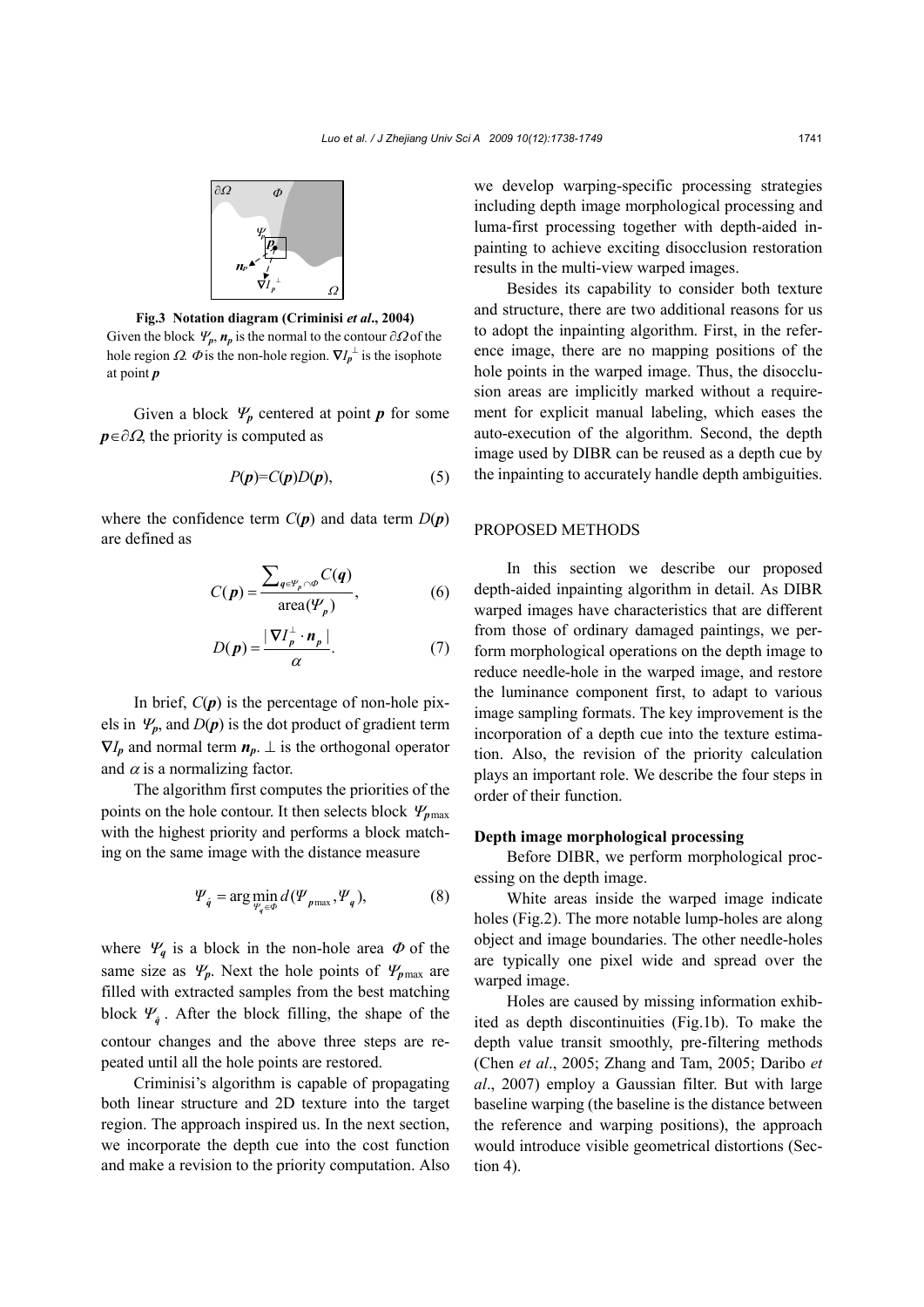

**Fig.3 Notation diagram (Criminisi** *et al***., 2004)**  Given the block  $\Psi_p$ ,  $n_p$  is the normal to the contour  $\partial\Omega$  of the hole region  $\Omega$ .  $\Phi$  is the non-hole region.  $\nabla I_p^{\perp}$  is the isophote at point *p*

Given a block  $\Psi_p$  centered at point *p* for some *p*∈∂Ω, the priority is computed as

$$
P(p)=C(p)D(p),\tag{5}
$$

where the confidence term  $C(p)$  and data term  $D(p)$ are defined as

$$
C(p) = \frac{\sum_{q \in \mathcal{V}_p \cap \Phi} C(q)}{\text{area}(\mathcal{V}_p)},
$$
 (6)

$$
D(\boldsymbol{p}) = \frac{|\boldsymbol{\nabla} I_p^{\perp} \cdot \boldsymbol{n}_p|}{\alpha}.
$$
 (7)

In brief,  $C(p)$  is the percentage of non-hole pixels in  $\Psi_p$ , and  $D(p)$  is the dot product of gradient term  $\nabla I_p$  and normal term  $n_p$ .  $\perp$  is the orthogonal operator and  $\alpha$  is a normalizing factor.

The algorithm first computes the priorities of the points on the hole contour. It then selects block <sup>Ψ</sup>*p*max with the highest priority and performs a block matching on the same image with the distance measure

$$
\Psi_{\hat{q}} = \arg\min_{\Psi_q \in \Phi} d(\Psi_{p\max}, \Psi_q), \tag{8}
$$

where  $\Psi_q$  is a block in the non-hole area  $\Phi$  of the same size as  $\Psi_p$ . Next the hole points of  $\Psi_{p\text{max}}$  are filled with extracted samples from the best matching block  $\Psi_{\hat{q}}$ . After the block filling, the shape of the contour changes and the above three steps are repeated until all the hole points are restored.

Criminisi's algorithm is capable of propagating both linear structure and 2D texture into the target region. The approach inspired us. In the next section, we incorporate the depth cue into the cost function and make a revision to the priority computation. Also we develop warping-specific processing strategies including depth image morphological processing and luma-first processing together with depth-aided inpainting to achieve exciting disocclusion restoration results in the multi-view warped images.

Besides its capability to consider both texture and structure, there are two additional reasons for us to adopt the inpainting algorithm. First, in the reference image, there are no mapping positions of the hole points in the warped image. Thus, the disocclusion areas are implicitly marked without a requirement for explicit manual labeling, which eases the auto-execution of the algorithm. Second, the depth image used by DIBR can be reused as a depth cue by the inpainting to accurately handle depth ambiguities.

#### PROPOSED METHODS

In this section we describe our proposed depth-aided inpainting algorithm in detail. As DIBR warped images have characteristics that are different from those of ordinary damaged paintings, we perform morphological operations on the depth image to reduce needle-hole in the warped image, and restore the luminance component first, to adapt to various image sampling formats. The key improvement is the incorporation of a depth cue into the texture estimation. Also, the revision of the priority calculation plays an important role. We describe the four steps in order of their function.

#### **Depth image morphological processing**

Before DIBR, we perform morphological processing on the depth image.

White areas inside the warped image indicate holes (Fig.2). The more notable lump-holes are along object and image boundaries. The other needle-holes are typically one pixel wide and spread over the warped image.

Holes are caused by missing information exhibited as depth discontinuities (Fig.1b). To make the depth value transit smoothly, pre-filtering methods (Chen *et al*., 2005; Zhang and Tam, 2005; Daribo *et al*., 2007) employ a Gaussian filter. But with large baseline warping (the baseline is the distance between the reference and warping positions), the approach would introduce visible geometrical distortions (Section 4).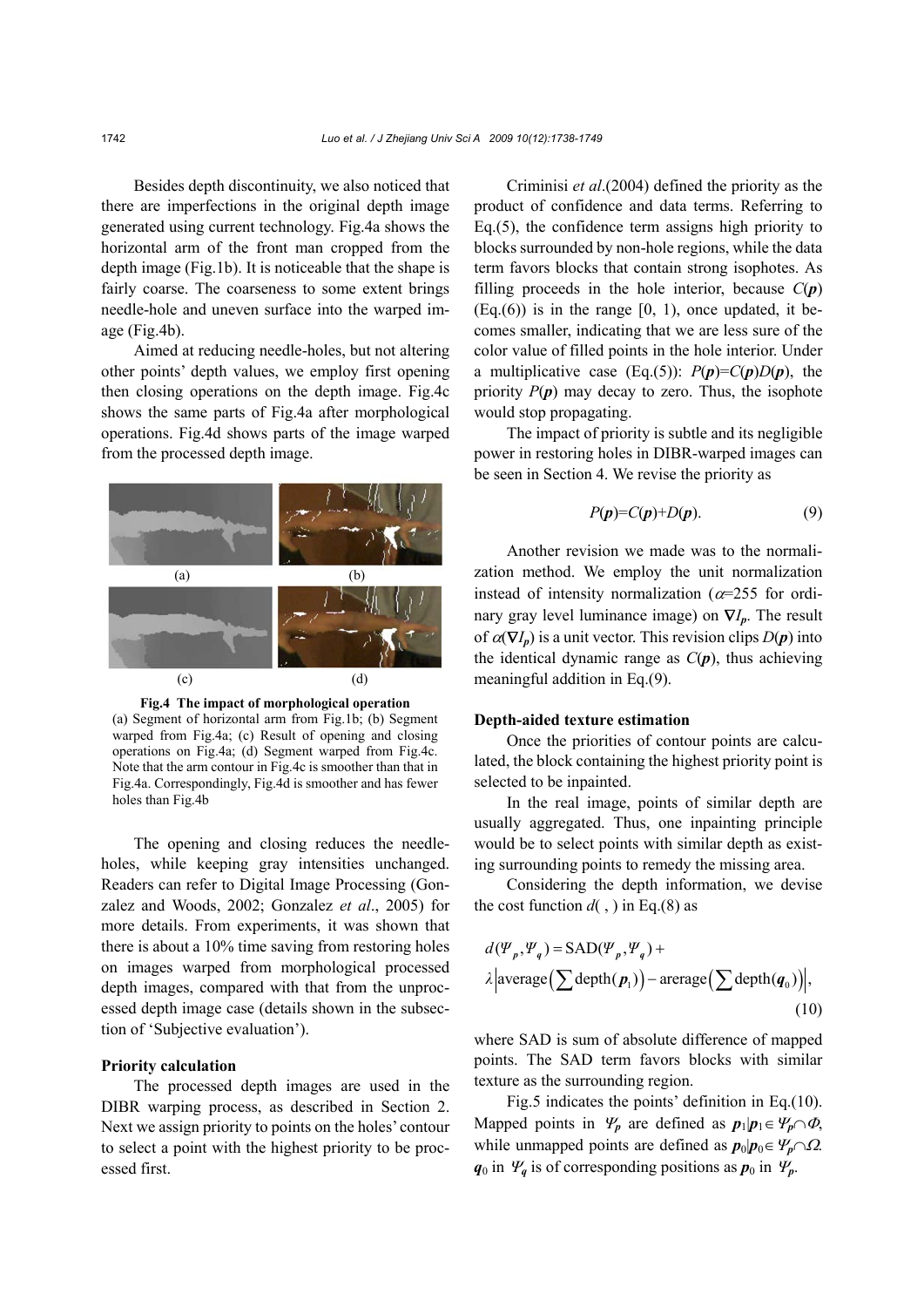Besides depth discontinuity, we also noticed that there are imperfections in the original depth image generated using current technology. Fig.4a shows the horizontal arm of the front man cropped from the depth image (Fig.1b). It is noticeable that the shape is fairly coarse. The coarseness to some extent brings needle-hole and uneven surface into the warped image (Fig.4b).

Aimed at reducing needle-holes, but not altering other points' depth values, we employ first opening then closing operations on the depth image. Fig.4c shows the same parts of Fig.4a after morphological operations. Fig.4d shows parts of the image warped from the processed depth image.



**Fig.4 The impact of morphological operation**  (a) Segment of horizontal arm from Fig.1b; (b) Segment warped from Fig.4a; (c) Result of opening and closing operations on Fig.4a; (d) Segment warped from Fig.4c. Note that the arm contour in Fig.4c is smoother than that in Fig.4a. Correspondingly, Fig.4d is smoother and has fewer holes than Fig.4b

The opening and closing reduces the needleholes, while keeping gray intensities unchanged. Readers can refer to Digital Image Processing (Gonzalez and Woods, 2002; Gonzalez *et al*., 2005) for more details. From experiments, it was shown that there is about a 10% time saving from restoring holes on images warped from morphological processed depth images, compared with that from the unprocessed depth image case (details shown in the subsection of 'Subjective evaluation').

#### **Priority calculation**

The processed depth images are used in the DIBR warping process, as described in Section 2. Next we assign priority to points on the holes' contour to select a point with the highest priority to be processed first.

Criminisi *et al*.(2004) defined the priority as the product of confidence and data terms. Referring to Eq.(5), the confidence term assigns high priority to blocks surrounded by non-hole regions, while the data term favors blocks that contain strong isophotes. As filling proceeds in the hole interior, because  $C(p)$  $(Eq.6)$ ) is in the range  $[0, 1)$ , once updated, it becomes smaller, indicating that we are less sure of the color value of filled points in the hole interior. Under a multiplicative case (Eq.(5)):  $P(p)=C(p)D(p)$ , the priority  $P(p)$  may decay to zero. Thus, the isophote would stop propagating.

The impact of priority is subtle and its negligible power in restoring holes in DIBR-warped images can be seen in Section 4. We revise the priority as

$$
P(p)=C(p)+D(p). \tag{9}
$$

Another revision we made was to the normalization method. We employ the unit normalization instead of intensity normalization ( $\alpha$ =255 for ordinary gray level luminance image) on ∇*Ip*. The result of  $\alpha(\nabla I_p)$  is a unit vector. This revision clips  $D(p)$  into the identical dynamic range as  $C(p)$ , thus achieving meaningful addition in Eq.(9).

## **Depth-aided texture estimation**

Once the priorities of contour points are calculated, the block containing the highest priority point is selected to be inpainted.

In the real image, points of similar depth are usually aggregated. Thus, one inpainting principle would be to select points with similar depth as existing surrounding points to remedy the missing area.

Considering the depth information, we devise the cost function  $d($ ,  $)$  in Eq.(8) as

$$
d(\Psi_p, \Psi_q) = \text{SAD}(\Psi_p, \Psi_q) +
$$
  

$$
\lambda \left| \text{average} \left( \sum \text{depth}(p_1) \right) - \text{average} \left( \sum \text{depth}(q_0) \right) \right|,
$$
  
(10)

where SAD is sum of absolute difference of mapped points. The SAD term favors blocks with similar texture as the surrounding region.

Fig.5 indicates the points' definition in Eq.(10). Mapped points in  $\Psi_p$  are defined as  $p_1|p_1 \in \Psi_p \cap \Phi$ , while unmapped points are defined as  $p_0|p_0 \in \mathcal{V}_p \cap \Omega$ .  $q_0$  in  $\Psi_q$  is of corresponding positions as  $p_0$  in  $\Psi_p$ .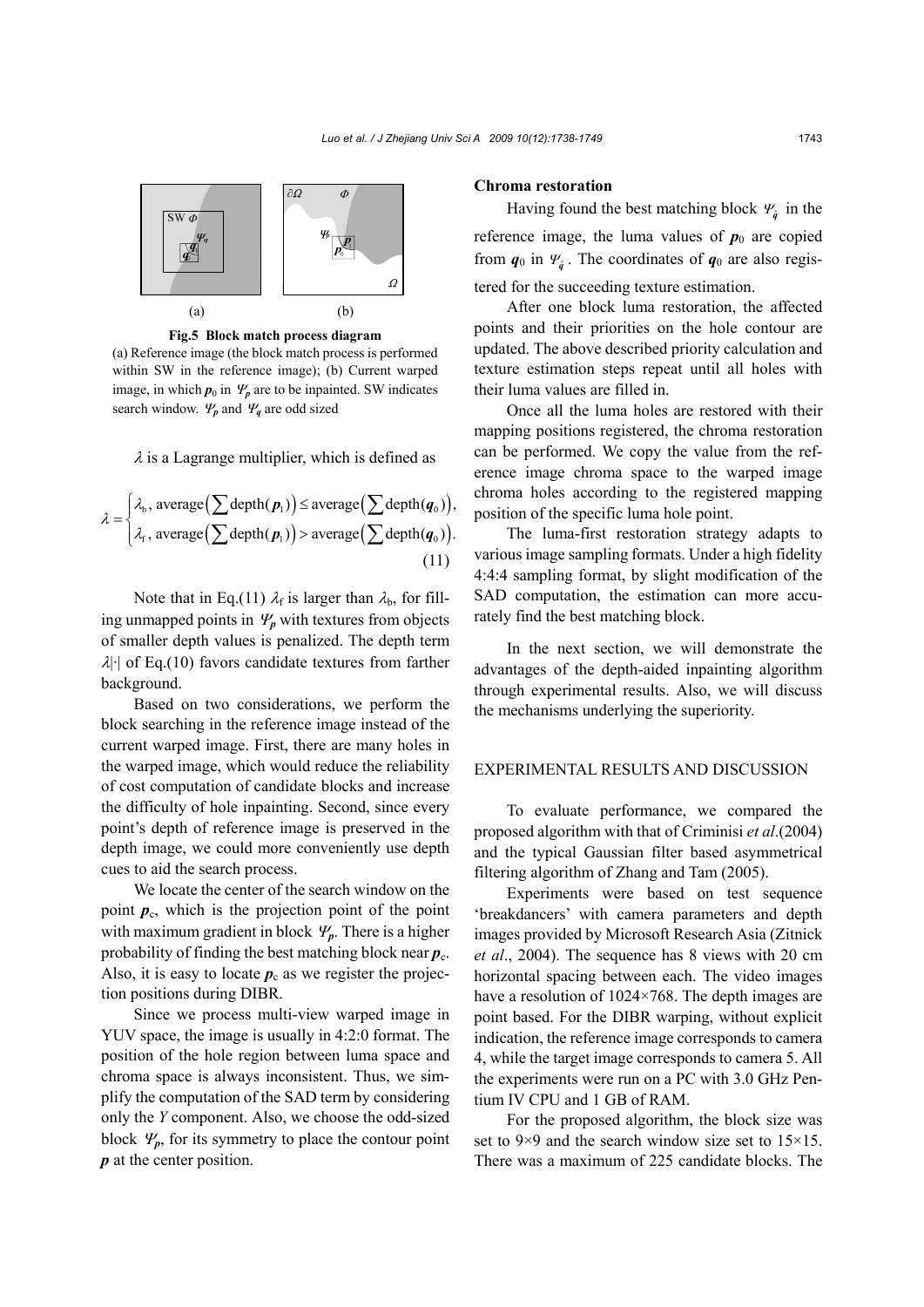

**Fig.5 Block match process diagram** 

(a) Reference image (the block match process is performed within SW in the reference image); (b) Current warped image, in which  $p_0$  in  $\Psi_p$  are to be inpainted. SW indicates search window.  $\Psi_p$  and  $\Psi_q$  are odd sized

 $\lambda$  is a Lagrange multiplier, which is defined as

$$
\lambda = \begin{cases} \lambda_{\text{b}}, \, \text{average} \big( \sum \text{depth}(\boldsymbol{p}_1) \big) \leq \text{average} \big( \sum \text{depth}(q_0) \big), \\ \lambda_{\text{r}}, \, \text{average} \big( \sum \text{depth}(\boldsymbol{p}_1) \big) > \text{average} \big( \sum \text{depth}(q_0) \big). \end{cases} \tag{11}
$$

Note that in Eq.(11)  $\lambda_f$  is larger than  $\lambda_b$ , for filling unmapped points in  $\Psi_p$  with textures from objects of smaller depth values is penalized. The depth term  $\lambda$ |·| of Eq.(10) favors candidate textures from farther background.

Based on two considerations, we perform the block searching in the reference image instead of the current warped image. First, there are many holes in the warped image, which would reduce the reliability of cost computation of candidate blocks and increase the difficulty of hole inpainting. Second, since every point's depth of reference image is preserved in the depth image, we could more conveniently use depth cues to aid the search process.

We locate the center of the search window on the point  $p_c$ , which is the projection point of the point with maximum gradient in block  $\Psi_p$ . There is a higher probability of finding the best matching block near  $p_c$ . Also, it is easy to locate  $p_c$  as we register the projection positions during DIBR.

Since we process multi-view warped image in YUV space, the image is usually in 4:2:0 format. The position of the hole region between luma space and chroma space is always inconsistent. Thus, we simplify the computation of the SAD term by considering only the *Y* component. Also, we choose the odd-sized block  $\Psi_p$ , for its symmetry to place the contour point *p* at the center position.

#### **Chroma restoration**

Having found the best matching block  $\Psi_{\hat{q}}$  in the reference image, the luma values of  $p_0$  are copied from  $q_0$  in  $\Psi_a$ . The coordinates of  $q_0$  are also registered for the succeeding texture estimation.

After one block luma restoration, the affected points and their priorities on the hole contour are updated. The above described priority calculation and texture estimation steps repeat until all holes with their luma values are filled in.

Once all the luma holes are restored with their mapping positions registered, the chroma restoration can be performed. We copy the value from the reference image chroma space to the warped image chroma holes according to the registered mapping position of the specific luma hole point.

The luma-first restoration strategy adapts to various image sampling formats. Under a high fidelity 4:4:4 sampling format, by slight modification of the SAD computation, the estimation can more accurately find the best matching block.

In the next section, we will demonstrate the advantages of the depth-aided inpainting algorithm through experimental results. Also, we will discuss the mechanisms underlying the superiority.

## EXPERIMENTAL RESULTS AND DISCUSSION

To evaluate performance, we compared the proposed algorithm with that of Criminisi *et al*.(2004) and the typical Gaussian filter based asymmetrical filtering algorithm of Zhang and Tam (2005).

Experiments were based on test sequence 'breakdancers' with camera parameters and depth images provided by Microsoft Research Asia (Zitnick *et al*., 2004). The sequence has 8 views with 20 cm horizontal spacing between each. The video images have a resolution of 1024×768. The depth images are point based. For the DIBR warping, without explicit indication, the reference image corresponds to camera 4, while the target image corresponds to camera 5. All the experiments were run on a PC with 3.0 GHz Pentium IV CPU and 1 GB of RAM.

For the proposed algorithm, the block size was set to 9×9 and the search window size set to 15×15. There was a maximum of 225 candidate blocks. The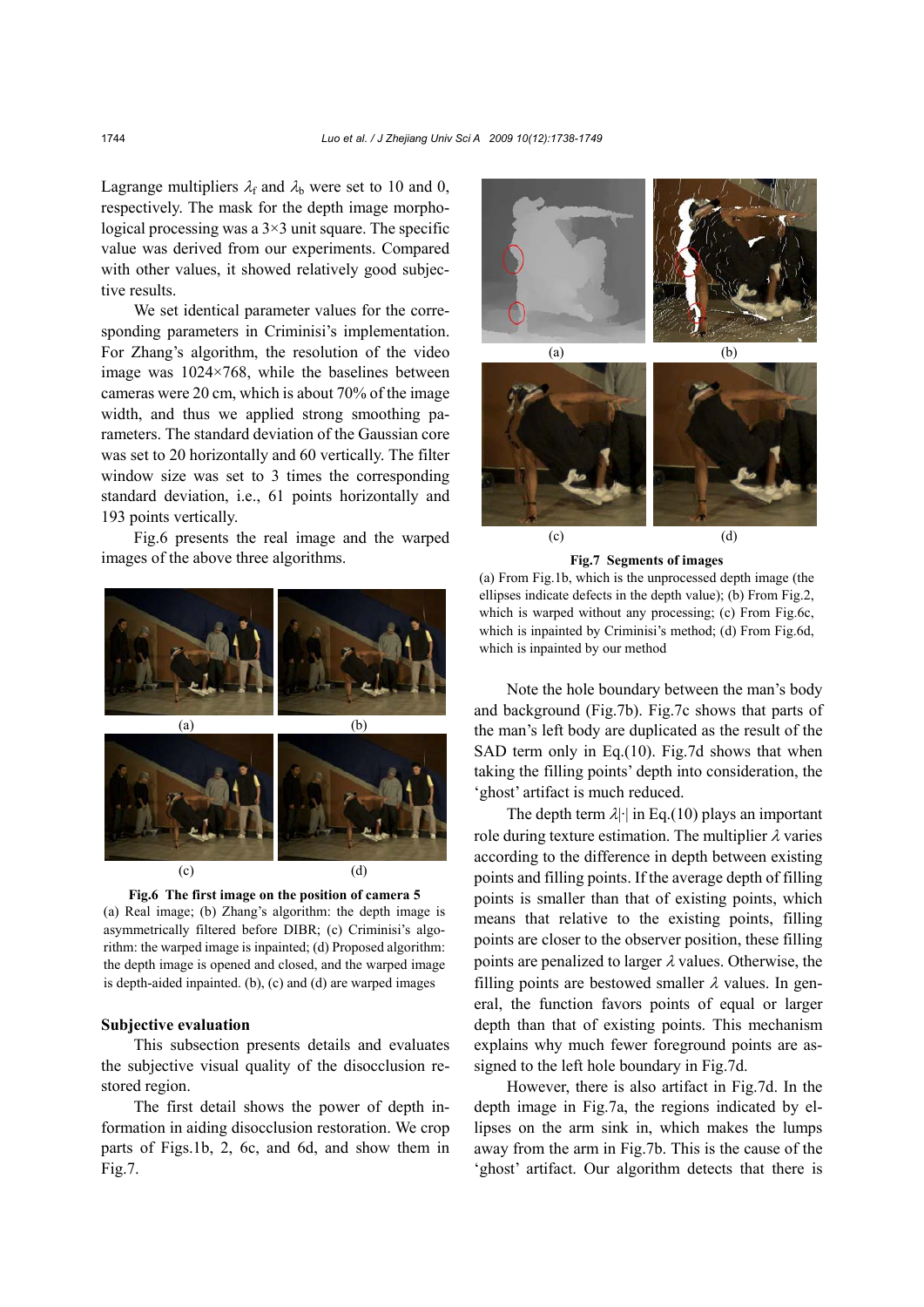Lagrange multipliers  $\lambda_f$  and  $\lambda_b$  were set to 10 and 0, respectively. The mask for the depth image morphological processing was a  $3\times 3$  unit square. The specific value was derived from our experiments. Compared with other values, it showed relatively good subjective results.

We set identical parameter values for the corresponding parameters in Criminisi's implementation. For Zhang's algorithm, the resolution of the video image was 1024×768, while the baselines between cameras were 20 cm, which is about 70% of the image width, and thus we applied strong smoothing parameters. The standard deviation of the Gaussian core was set to 20 horizontally and 60 vertically. The filter window size was set to 3 times the corresponding standard deviation, i.e., 61 points horizontally and 193 points vertically.

Fig.6 presents the real image and the warped images of the above three algorithms.



**Fig.6 The first image on the position of camera 5**  (a) Real image; (b) Zhang's algorithm: the depth image is asymmetrically filtered before DIBR; (c) Criminisi's algorithm: the warped image is inpainted; (d) Proposed algorithm: the depth image is opened and closed, and the warped image is depth-aided inpainted. (b), (c) and (d) are warped images

#### **Subjective evaluation**

This subsection presents details and evaluates the subjective visual quality of the disocclusion restored region.

The first detail shows the power of depth information in aiding disocclusion restoration. We crop parts of Figs.1b, 2, 6c, and 6d, and show them in Fig.7.



 $(c)$  (d)

**Fig.7 Segments of images** 

(a) From Fig.1b, which is the unprocessed depth image (the ellipses indicate defects in the depth value); (b) From Fig.2, which is warped without any processing; (c) From Fig.6c, which is inpainted by Criminisi's method; (d) From Fig.6d, which is inpainted by our method

Note the hole boundary between the man's body and background (Fig.7b). Fig.7c shows that parts of the man's left body are duplicated as the result of the SAD term only in Eq.(10). Fig.7d shows that when taking the filling points' depth into consideration, the 'ghost' artifact is much reduced.

The depth term  $\lambda$  | in Eq.(10) plays an important role during texture estimation. The multiplier  $\lambda$  varies according to the difference in depth between existing points and filling points. If the average depth of filling points is smaller than that of existing points, which means that relative to the existing points, filling points are closer to the observer position, these filling points are penalized to larger  $\lambda$  values. Otherwise, the filling points are bestowed smaller  $\lambda$  values. In general, the function favors points of equal or larger depth than that of existing points. This mechanism explains why much fewer foreground points are assigned to the left hole boundary in Fig.7d.

However, there is also artifact in Fig.7d. In the depth image in Fig.7a, the regions indicated by ellipses on the arm sink in, which makes the lumps away from the arm in Fig.7b. This is the cause of the 'ghost' artifact. Our algorithm detects that there is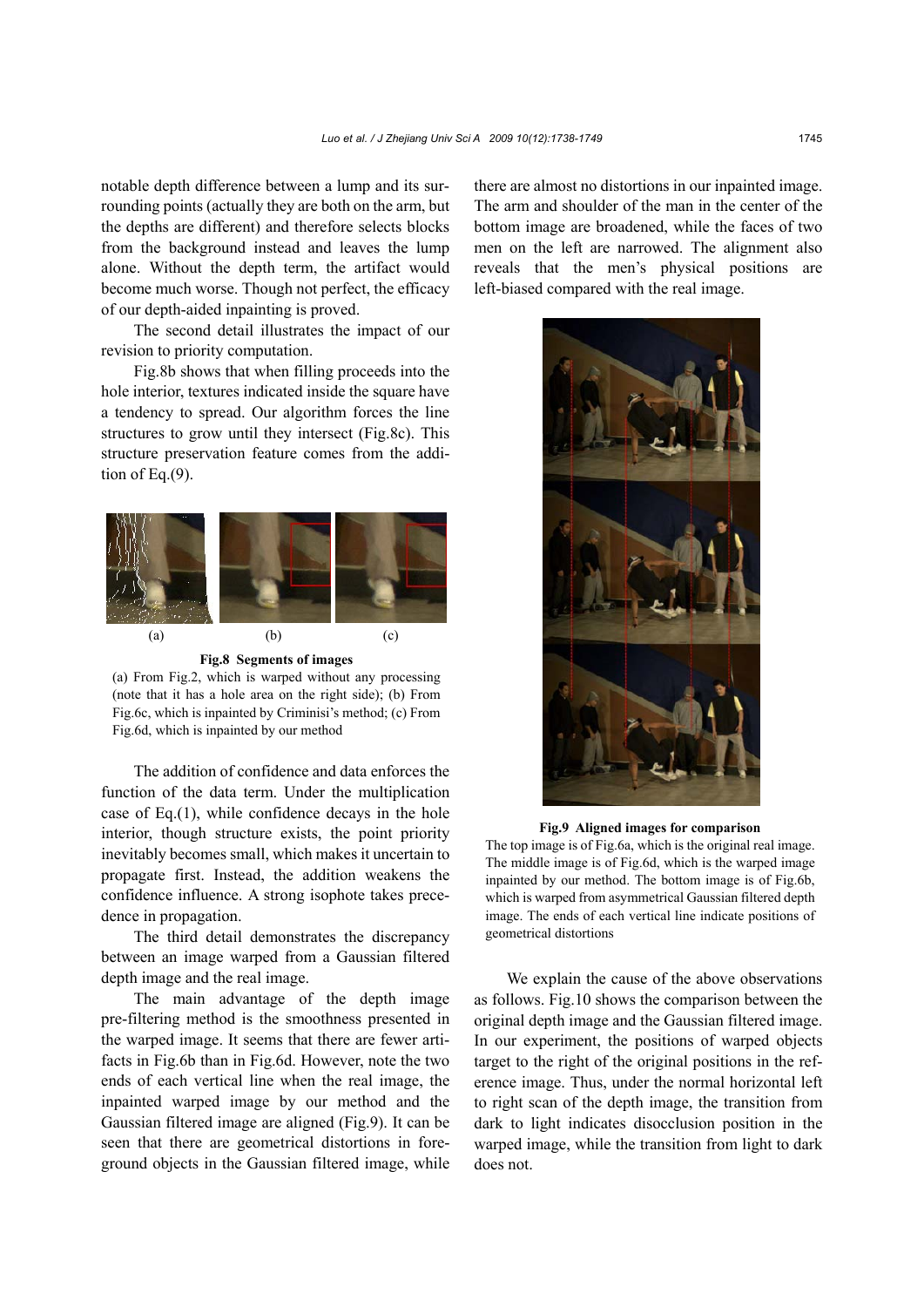notable depth difference between a lump and its surrounding points (actually they are both on the arm, but the depths are different) and therefore selects blocks from the background instead and leaves the lump alone. Without the depth term, the artifact would become much worse. Though not perfect, the efficacy of our depth-aided inpainting is proved.

The second detail illustrates the impact of our revision to priority computation.

Fig.8b shows that when filling proceeds into the hole interior, textures indicated inside the square have a tendency to spread. Our algorithm forces the line structures to grow until they intersect (Fig.8c). This structure preservation feature comes from the addition of Eq.(9).



**Fig.8 Segments of images** 

(a) From Fig.2, which is warped without any processing (note that it has a hole area on the right side); (b) From Fig.6c, which is inpainted by Criminisi's method; (c) From Fig.6d, which is inpainted by our method

The addition of confidence and data enforces the function of the data term. Under the multiplication case of Eq.(1), while confidence decays in the hole interior, though structure exists, the point priority inevitably becomes small, which makes it uncertain to propagate first. Instead, the addition weakens the confidence influence. A strong isophote takes precedence in propagation.

The third detail demonstrates the discrepancy between an image warped from a Gaussian filtered depth image and the real image.

The main advantage of the depth image pre-filtering method is the smoothness presented in the warped image. It seems that there are fewer artifacts in Fig.6b than in Fig.6d. However, note the two ends of each vertical line when the real image, the inpainted warped image by our method and the Gaussian filtered image are aligned (Fig.9). It can be seen that there are geometrical distortions in foreground objects in the Gaussian filtered image, while there are almost no distortions in our inpainted image. The arm and shoulder of the man in the center of the bottom image are broadened, while the faces of two men on the left are narrowed. The alignment also reveals that the men's physical positions are left-biased compared with the real image.



**Fig.9 Aligned images for comparison** 

The top image is of Fig.6a, which is the original real image. The middle image is of Fig.6d, which is the warped image inpainted by our method. The bottom image is of Fig.6b, which is warped from asymmetrical Gaussian filtered depth image. The ends of each vertical line indicate positions of geometrical distortions

We explain the cause of the above observations as follows. Fig.10 shows the comparison between the original depth image and the Gaussian filtered image. In our experiment, the positions of warped objects target to the right of the original positions in the reference image. Thus, under the normal horizontal left to right scan of the depth image, the transition from dark to light indicates disocclusion position in the warped image, while the transition from light to dark does not.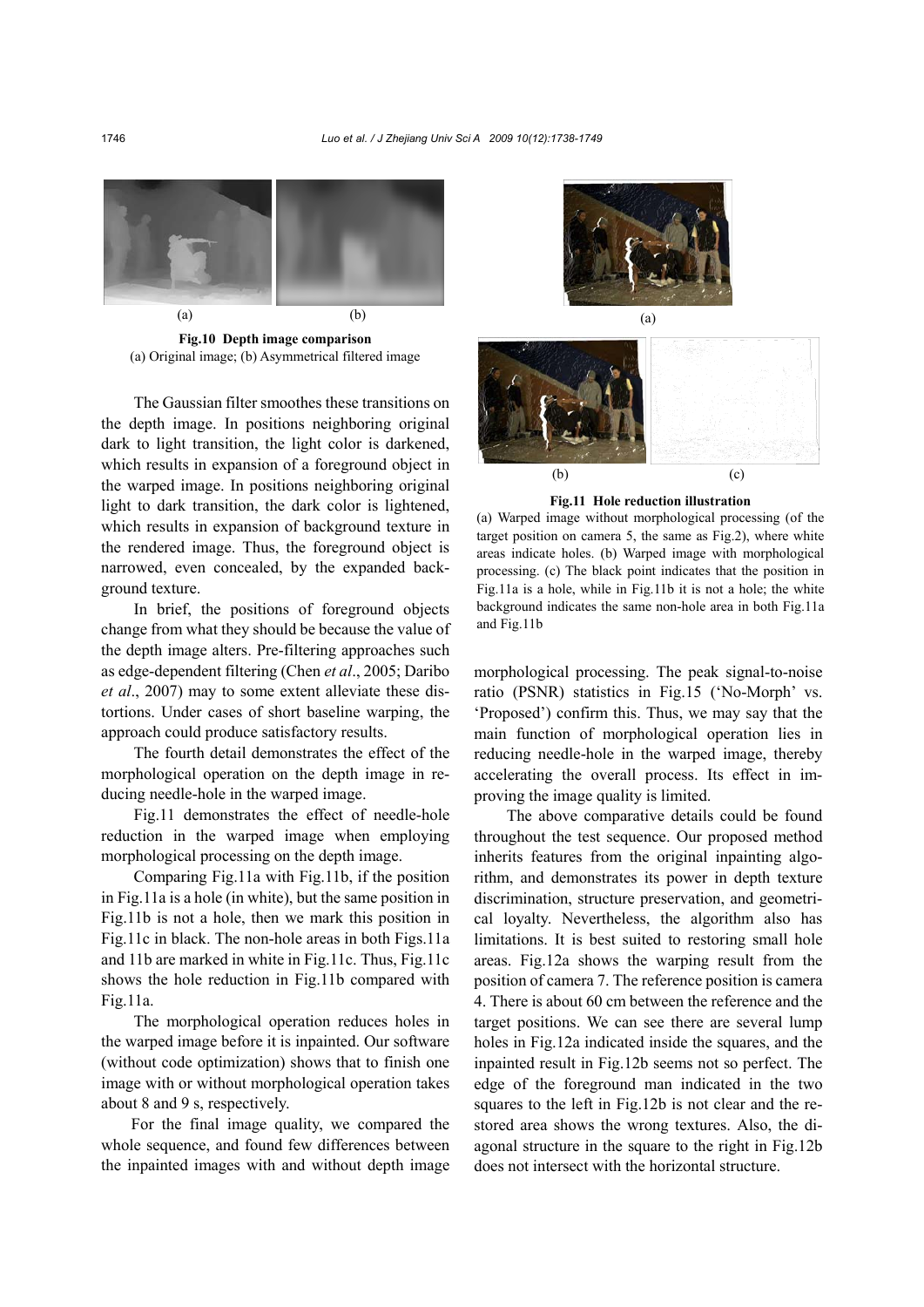

**Fig.10 Depth image comparison**  (a) Original image; (b) Asymmetrical filtered image

The Gaussian filter smoothes these transitions on the depth image. In positions neighboring original dark to light transition, the light color is darkened, which results in expansion of a foreground object in the warped image. In positions neighboring original light to dark transition, the dark color is lightened, which results in expansion of background texture in the rendered image. Thus, the foreground object is narrowed, even concealed, by the expanded background texture.

In brief, the positions of foreground objects change from what they should be because the value of the depth image alters. Pre-filtering approaches such as edge-dependent filtering (Chen *et al*., 2005; Daribo *et al*., 2007) may to some extent alleviate these distortions. Under cases of short baseline warping, the approach could produce satisfactory results.

The fourth detail demonstrates the effect of the morphological operation on the depth image in reducing needle-hole in the warped image.

Fig.11 demonstrates the effect of needle-hole reduction in the warped image when employing morphological processing on the depth image.

Comparing Fig.11a with Fig.11b, if the position in Fig.11a is a hole (in white), but the same position in Fig.11b is not a hole, then we mark this position in Fig.11c in black. The non-hole areas in both Figs.11a and 11b are marked in white in Fig.11c. Thus, Fig.11c shows the hole reduction in Fig.11b compared with Fig.11a.

The morphological operation reduces holes in the warped image before it is inpainted. Our software (without code optimization) shows that to finish one image with or without morphological operation takes about 8 and 9 s, respectively.

For the final image quality, we compared the whole sequence, and found few differences between the inpainted images with and without depth image





**Fig.11 Hole reduction illustration** 

(a) Warped image without morphological processing (of the target position on camera 5, the same as Fig.2), where white areas indicate holes. (b) Warped image with morphological processing. (c) The black point indicates that the position in Fig.11a is a hole, while in Fig.11b it is not a hole; the white background indicates the same non-hole area in both Fig.11a and Fig.11b

morphological processing. The peak signal-to-noise ratio (PSNR) statistics in Fig.15 ('No-Morph' vs. 'Proposed') confirm this. Thus, we may say that the main function of morphological operation lies in reducing needle-hole in the warped image, thereby accelerating the overall process. Its effect in improving the image quality is limited.

The above comparative details could be found throughout the test sequence. Our proposed method inherits features from the original inpainting algorithm, and demonstrates its power in depth texture discrimination, structure preservation, and geometrical loyalty. Nevertheless, the algorithm also has limitations. It is best suited to restoring small hole areas. Fig.12a shows the warping result from the position of camera 7. The reference position is camera 4. There is about 60 cm between the reference and the target positions. We can see there are several lump holes in Fig.12a indicated inside the squares, and the inpainted result in Fig.12b seems not so perfect. The edge of the foreground man indicated in the two squares to the left in Fig.12b is not clear and the restored area shows the wrong textures. Also, the diagonal structure in the square to the right in Fig.12b does not intersect with the horizontal structure.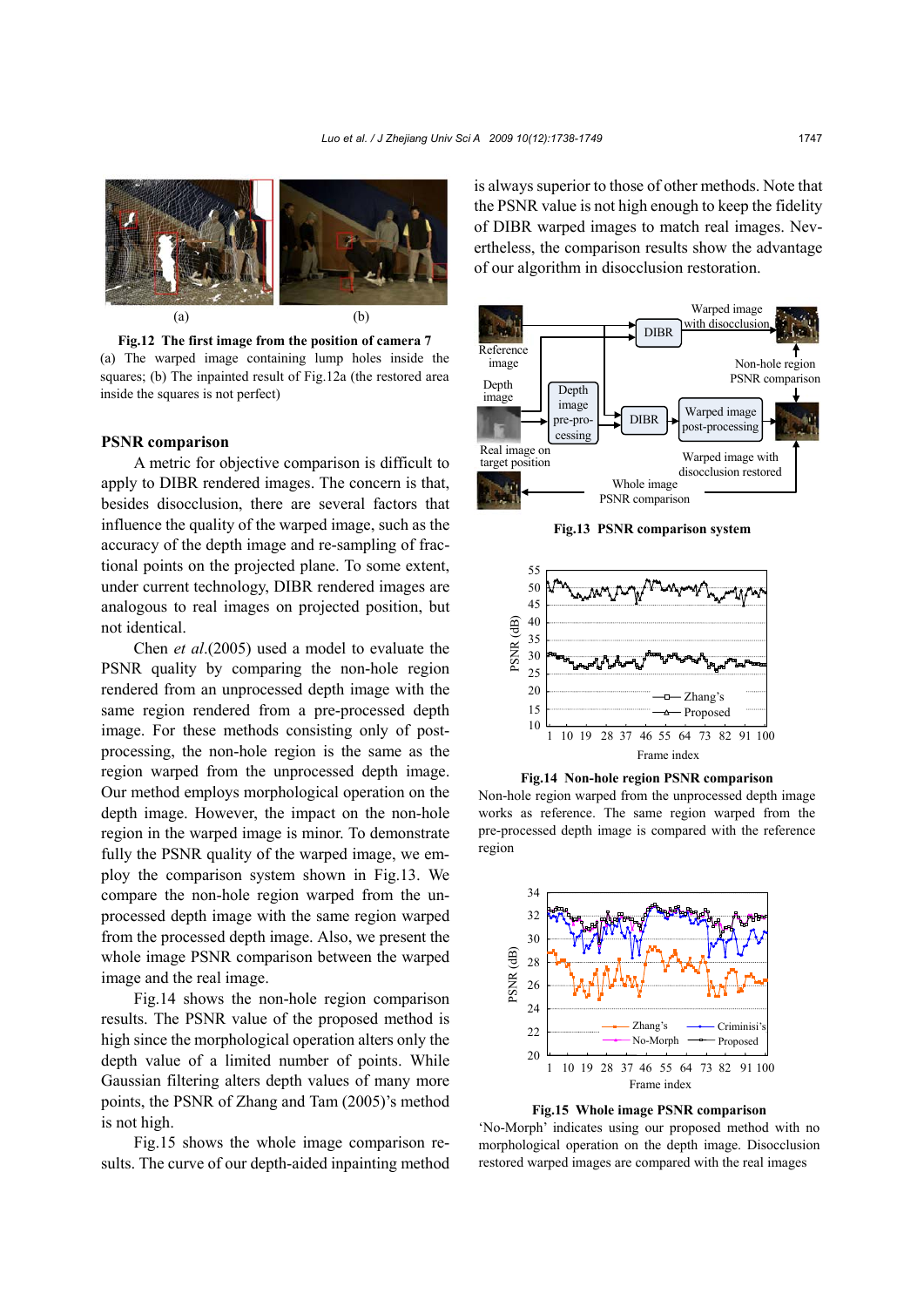

 **Fig.12 The first image from the position of camera 7**  (a) The warped image containing lump holes inside the squares; (b) The inpainted result of Fig.12a (the restored area inside the squares is not perfect)

### **PSNR comparison**

A metric for objective comparison is difficult to apply to DIBR rendered images. The concern is that, besides disocclusion, there are several factors that influence the quality of the warped image, such as the accuracy of the depth image and re-sampling of fractional points on the projected plane. To some extent, under current technology, DIBR rendered images are analogous to real images on projected position, but not identical.

Chen *et al*.(2005) used a model to evaluate the PSNR quality by comparing the non-hole region rendered from an unprocessed depth image with the same region rendered from a pre-processed depth image. For these methods consisting only of postprocessing, the non-hole region is the same as the region warped from the unprocessed depth image. Our method employs morphological operation on the depth image. However, the impact on the non-hole region in the warped image is minor. To demonstrate fully the PSNR quality of the warped image, we employ the comparison system shown in Fig.13. We compare the non-hole region warped from the unprocessed depth image with the same region warped from the processed depth image. Also, we present the whole image PSNR comparison between the warped image and the real image.

Fig.14 shows the non-hole region comparison results. The PSNR value of the proposed method is high since the morphological operation alters only the depth value of a limited number of points. While Gaussian filtering alters depth values of many more points, the PSNR of Zhang and Tam (2005)'s method is not high.

Fig.15 shows the whole image comparison results. The curve of our depth-aided inpainting method is always superior to those of other methods. Note that the PSNR value is not high enough to keep the fidelity of DIBR warped images to match real images. Nevertheless, the comparison results show the advantage of our algorithm in disocclusion restoration.



**Fig.13 PSNR comparison system**



**Fig.14 Non-hole region PSNR comparison** 

Non-hole region warped from the unprocessed depth image works as reference. The same region warped from the pre-processed depth image is compared with the reference region



**Fig.15 Whole image PSNR comparison** 

'No-Morph' indicates using our proposed method with no morphological operation on the depth image. Disocclusion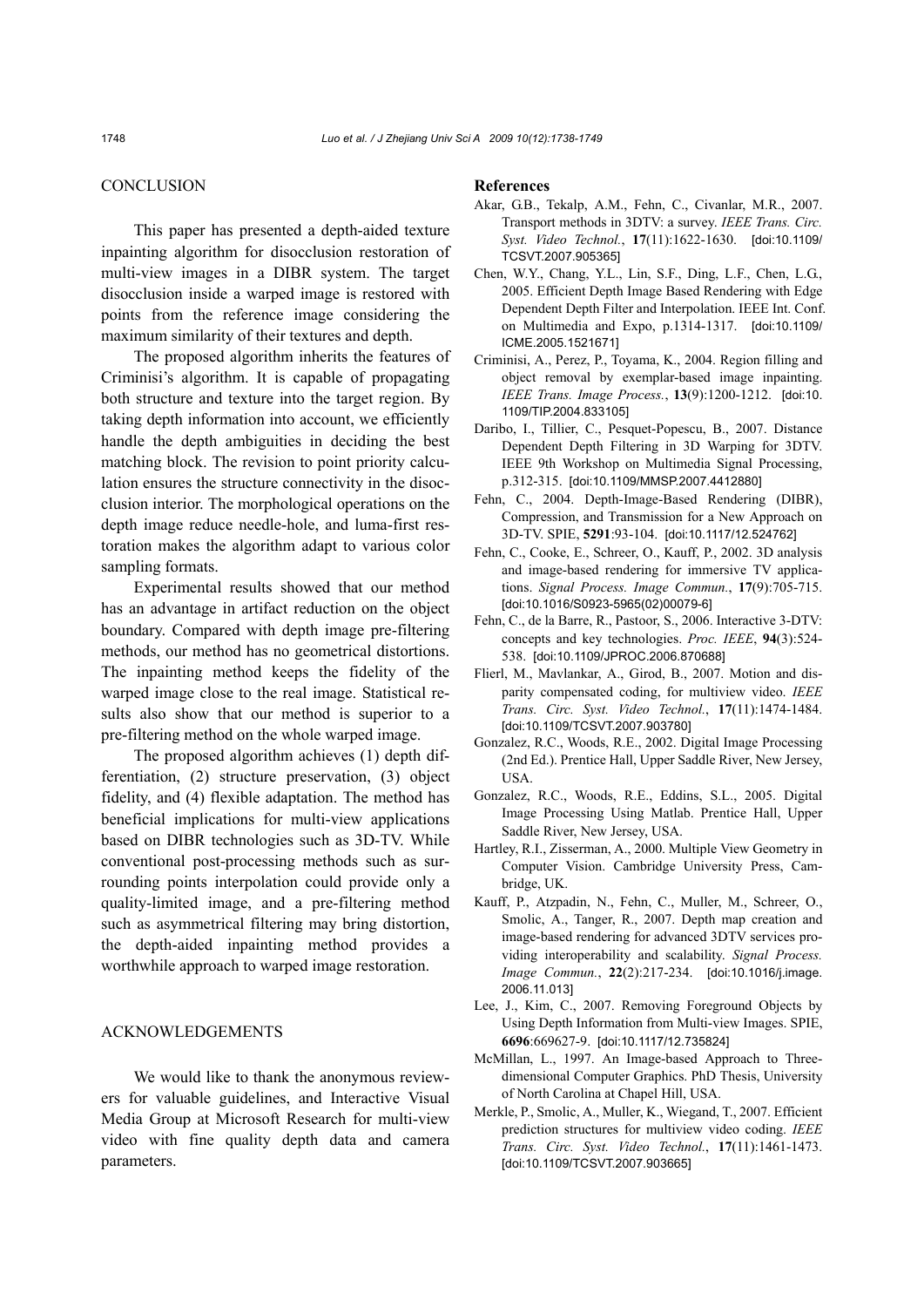## **CONCLUSION**

This paper has presented a depth-aided texture inpainting algorithm for disocclusion restoration of multi-view images in a DIBR system. The target disocclusion inside a warped image is restored with points from the reference image considering the maximum similarity of their textures and depth.

The proposed algorithm inherits the features of Criminisi's algorithm. It is capable of propagating both structure and texture into the target region. By taking depth information into account, we efficiently handle the depth ambiguities in deciding the best matching block. The revision to point priority calculation ensures the structure connectivity in the disocclusion interior. The morphological operations on the depth image reduce needle-hole, and luma-first restoration makes the algorithm adapt to various color sampling formats.

Experimental results showed that our method has an advantage in artifact reduction on the object boundary. Compared with depth image pre-filtering methods, our method has no geometrical distortions. The inpainting method keeps the fidelity of the warped image close to the real image. Statistical results also show that our method is superior to a pre-filtering method on the whole warped image.

The proposed algorithm achieves (1) depth differentiation, (2) structure preservation, (3) object fidelity, and (4) flexible adaptation. The method has beneficial implications for multi-view applications based on DIBR technologies such as 3D-TV. While conventional post-processing methods such as surrounding points interpolation could provide only a quality-limited image, and a pre-filtering method such as asymmetrical filtering may bring distortion, the depth-aided inpainting method provides a worthwhile approach to warped image restoration.

#### ACKNOWLEDGEMENTS

We would like to thank the anonymous reviewers for valuable guidelines, and Interactive Visual Media Group at Microsoft Research for multi-view video with fine quality depth data and camera parameters.

#### **References**

- Akar, G.B., Tekalp, A.M., Fehn, C., Civanlar, M.R., 2007. Transport methods in 3DTV: a survey. *IEEE Trans. Circ. Syst. Video Technol.*, **17**(11):1622-1630. [doi:10.1109/ TCSVT.2007.905365]
- Chen, W.Y., Chang, Y.L., Lin, S.F., Ding, L.F., Chen, L.G., 2005. Efficient Depth Image Based Rendering with Edge Dependent Depth Filter and Interpolation. IEEE Int. Conf. on Multimedia and Expo, p.1314-1317. [doi:10.1109/ ICME.2005.1521671]
- Criminisi, A., Perez, P., Toyama, K., 2004. Region filling and object removal by exemplar-based image inpainting. *IEEE Trans. Image Process.*, **13**(9):1200-1212. [doi:10. 1109/TIP.2004.833105]
- Daribo, I., Tillier, C., Pesquet-Popescu, B., 2007. Distance Dependent Depth Filtering in 3D Warping for 3DTV. IEEE 9th Workshop on Multimedia Signal Processing, p.312-315. [doi:10.1109/MMSP.2007.4412880]
- Fehn, C., 2004. Depth-Image-Based Rendering (DIBR), Compression, and Transmission for a New Approach on 3D-TV. SPIE, **5291**:93-104. [doi:10.1117/12.524762]
- Fehn, C., Cooke, E., Schreer, O., Kauff, P., 2002. 3D analysis and image-based rendering for immersive TV applications. *Signal Process. Image Commun.*, **17**(9):705-715. [doi:10.1016/S0923-5965(02)00079-6]
- Fehn, C., de la Barre, R., Pastoor, S., 2006. Interactive 3-DTV: concepts and key technologies. *Proc. IEEE*, **94**(3):524- 538. [doi:10.1109/JPROC.2006.870688]
- Flierl, M., Mavlankar, A., Girod, B., 2007. Motion and disparity compensated coding, for multiview video. *IEEE Trans. Circ. Syst. Video Technol.*, **17**(11):1474-1484. [doi:10.1109/TCSVT.2007.903780]
- Gonzalez, R.C., Woods, R.E., 2002. Digital Image Processing (2nd Ed.). Prentice Hall, Upper Saddle River, New Jersey, USA.
- Gonzalez, R.C., Woods, R.E., Eddins, S.L., 2005. Digital Image Processing Using Matlab. Prentice Hall, Upper Saddle River, New Jersey, USA.
- Hartley, R.I., Zisserman, A., 2000. Multiple View Geometry in Computer Vision. Cambridge University Press, Cambridge, UK.
- Kauff, P., Atzpadin, N., Fehn, C., Muller, M., Schreer, O., Smolic, A., Tanger, R., 2007. Depth map creation and image-based rendering for advanced 3DTV services providing interoperability and scalability. *Signal Process. Image Commun.*, **22**(2):217-234. [doi:10.1016/j.image. 2006.11.013]
- Lee, J., Kim, C., 2007. Removing Foreground Objects by Using Depth Information from Multi-view Images. SPIE, **6696**:669627-9. [doi:10.1117/12.735824]
- McMillan, L., 1997. An Image-based Approach to Threedimensional Computer Graphics. PhD Thesis, University of North Carolina at Chapel Hill, USA.
- Merkle, P., Smolic, A., Muller, K., Wiegand, T., 2007. Efficient prediction structures for multiview video coding. *IEEE Trans. Circ. Syst. Video Technol.*, **17**(11):1461-1473. [doi:10.1109/TCSVT.2007.903665]